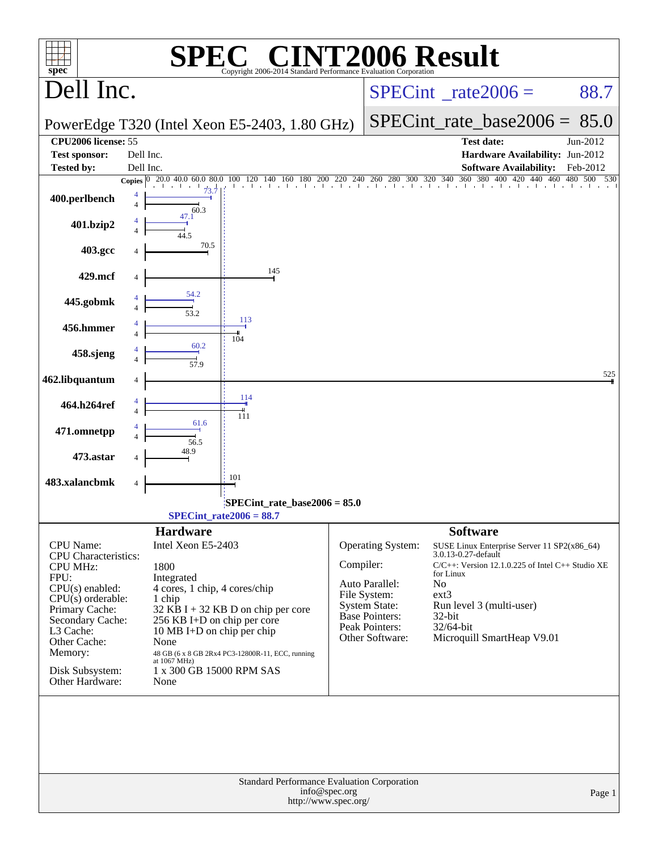| $spec^*$                                           |                                 | SPE                                                       | $\blacksquare$<br>Copyright 2006-2014 Standard Performance Evaluation Corporation |           |                                        | <b>F2006 Result</b>                                                |                     |
|----------------------------------------------------|---------------------------------|-----------------------------------------------------------|-----------------------------------------------------------------------------------|-----------|----------------------------------------|--------------------------------------------------------------------|---------------------|
| Dell Inc.                                          |                                 |                                                           |                                                                                   |           |                                        | $SPECint^{\circ}$ rate 2006 =                                      | 88.7                |
|                                                    |                                 |                                                           | PowerEdge T320 (Intel Xeon E5-2403, 1.80 GHz)                                     |           |                                        | $SPECint_rate_base2006 = 85.0$                                     |                     |
| <b>CPU2006</b> license: 55<br><b>Test sponsor:</b> | Dell Inc.                       |                                                           |                                                                                   |           |                                        | <b>Test date:</b><br>Hardware Availability: Jun-2012               | Jun-2012            |
| <b>Tested by:</b>                                  | Dell Inc.                       |                                                           |                                                                                   |           |                                        | <b>Software Availability:</b>                                      | Feb-2012            |
| 400.perlbench                                      | <b>Copies</b><br>$\overline{4}$ | 73.7<br>60.3                                              | 20.0 40.0 60.0 80.0 100 120 140 160 180 200 220 240 260 280 300 320 340           |           |                                        | 360 380 400 420                                                    | 440 460 480 500 530 |
| 401.bzip2                                          |                                 | 47.1                                                      |                                                                                   |           |                                        |                                                                    |                     |
| 403.gcc                                            |                                 | 70.5                                                      |                                                                                   |           |                                        |                                                                    |                     |
| 429.mcf                                            |                                 |                                                           | 145                                                                               |           |                                        |                                                                    |                     |
| 445.gobmk                                          |                                 | 54.2<br>53.2                                              |                                                                                   |           |                                        |                                                                    |                     |
| 456.hmmer                                          |                                 |                                                           | 113<br>104                                                                        |           |                                        |                                                                    |                     |
| 458.sjeng                                          |                                 | 60.2<br>57.9                                              |                                                                                   |           |                                        |                                                                    |                     |
| 462.libquantum                                     |                                 |                                                           |                                                                                   |           |                                        |                                                                    | 525                 |
| 464.h264ref                                        |                                 |                                                           | 114<br>111                                                                        |           |                                        |                                                                    |                     |
| 471.omnetpp                                        |                                 | 61.6<br>56.5                                              |                                                                                   |           |                                        |                                                                    |                     |
| 473.astar                                          |                                 | 48.9                                                      |                                                                                   |           |                                        |                                                                    |                     |
| 483.xalancbmk                                      | 4                               |                                                           | 101                                                                               |           |                                        |                                                                    |                     |
|                                                    |                                 |                                                           | $SPECint_rate_base2006 = 85.0$<br>$SPECint_rate2006 = 88.7$                       |           |                                        |                                                                    |                     |
|                                                    |                                 |                                                           |                                                                                   |           |                                        | <b>Software</b>                                                    |                     |
| <b>CPU</b> Name:<br><b>CPU</b> Characteristics:    |                                 | <b>Hardware</b><br>Intel Xeon E5-2403                     |                                                                                   |           | Operating System:                      | SUSE Linux Enterprise Server 11 SP2(x86_64)<br>3.0.13-0.27-default |                     |
| <b>CPU MHz:</b>                                    |                                 | 1800                                                      |                                                                                   | Compiler: |                                        | $C/C++$ : Version 12.1.0.225 of Intel $C++$ Studio XE              |                     |
| FPU:                                               |                                 | Integrated                                                |                                                                                   |           | Auto Parallel:                         | for Linux<br>No                                                    |                     |
| $CPU(s)$ enabled:<br>$CPU(s)$ orderable:           |                                 | 4 cores, 1 chip, 4 cores/chip<br>1 chip                   |                                                                                   |           | File System:                           | ext3                                                               |                     |
| Primary Cache:                                     |                                 |                                                           | $32$ KB I + 32 KB D on chip per core                                              |           | <b>System State:</b><br>Base Pointers: | Run level 3 (multi-user)<br>32-bit                                 |                     |
| Secondary Cache:<br>L3 Cache:                      |                                 | 256 KB I+D on chip per core<br>10 MB I+D on chip per chip |                                                                                   |           | Peak Pointers:                         | 32/64-bit                                                          |                     |
| Other Cache:                                       |                                 | None                                                      |                                                                                   |           | Other Software:                        | Microquill SmartHeap V9.01                                         |                     |
| Memory:                                            |                                 | at 1067 MHz)                                              | 48 GB (6 x 8 GB 2Rx4 PC3-12800R-11, ECC, running                                  |           |                                        |                                                                    |                     |
| Disk Subsystem:<br>Other Hardware:                 |                                 | 1 x 300 GB 15000 RPM SAS<br>None                          |                                                                                   |           |                                        |                                                                    |                     |
|                                                    |                                 |                                                           |                                                                                   |           |                                        |                                                                    |                     |
|                                                    |                                 |                                                           |                                                                                   | Page 1    |                                        |                                                                    |                     |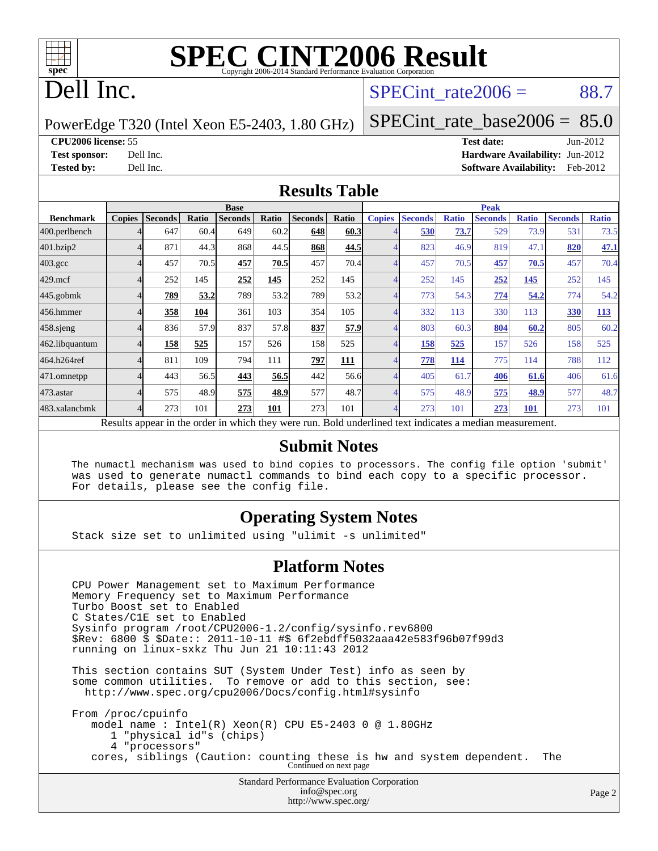

# **[SPEC CINT2006 Result](http://www.spec.org/auto/cpu2006/Docs/result-fields.html#SPECCINT2006Result)**

# Dell Inc.

#### SPECint rate $2006 = 88.7$

PowerEdge T320 (Intel Xeon E5-2403, 1.80 GHz)

[SPECint\\_rate\\_base2006 =](http://www.spec.org/auto/cpu2006/Docs/result-fields.html#SPECintratebase2006)  $85.0$ 

#### **[CPU2006 license:](http://www.spec.org/auto/cpu2006/Docs/result-fields.html#CPU2006license)** 55 **[Test date:](http://www.spec.org/auto/cpu2006/Docs/result-fields.html#Testdate)** Jun-2012

**[Test sponsor:](http://www.spec.org/auto/cpu2006/Docs/result-fields.html#Testsponsor)** Dell Inc. **[Hardware Availability:](http://www.spec.org/auto/cpu2006/Docs/result-fields.html#HardwareAvailability)** Jun-2012 **[Tested by:](http://www.spec.org/auto/cpu2006/Docs/result-fields.html#Testedby)** Dell Inc. **[Software Availability:](http://www.spec.org/auto/cpu2006/Docs/result-fields.html#SoftwareAvailability)** Feb-2012

#### **[Results Table](http://www.spec.org/auto/cpu2006/Docs/result-fields.html#ResultsTable)**

|                                                                                                          | <b>Base</b>   |                |       |                |       |                |             | <b>Peak</b>   |                |              |                |              |                |              |
|----------------------------------------------------------------------------------------------------------|---------------|----------------|-------|----------------|-------|----------------|-------------|---------------|----------------|--------------|----------------|--------------|----------------|--------------|
| <b>Benchmark</b>                                                                                         | <b>Copies</b> | <b>Seconds</b> | Ratio | <b>Seconds</b> | Ratio | <b>Seconds</b> | Ratio       | <b>Copies</b> | <b>Seconds</b> | <b>Ratio</b> | <b>Seconds</b> | <b>Ratio</b> | <b>Seconds</b> | <b>Ratio</b> |
| 400.perlbench                                                                                            |               | 647            | 60.4  | 649            | 60.2  | 648            | <b>60.3</b> |               | 530            | 73.7         | 529            | 73.9         | 531            | 73.5         |
| 401.bzip2                                                                                                |               | 871            | 44.3  | 868            | 44.5  | 868            | 44.5        |               | 823            | 46.9         | 819            | 47.1         | 820            | 47.1         |
| $403.\mathrm{gcc}$                                                                                       |               | 457            | 70.5  | 457            | 70.5  | 457            | 70.4        |               | 457            | 70.5         | 457            | 70.5         | 457            | 70.4         |
| $429$ .mcf                                                                                               |               | 252            | 145   | 252            | 145   | 252            | 145         |               | 252            | 145          | 252            | 145          | 252            | 145          |
| $445$ .gobmk                                                                                             |               | 789            | 53.2  | 789            | 53.2  | 789            | 53.2        |               | 773            | 54.3         | 774            | 54.2         | 774            | 54.2         |
| 456.hmmer                                                                                                |               | 358            | 104   | 361            | 103   | 354            | 105         |               | 332            | 113          | 330            | 113          | 330            | <b>113</b>   |
| $458$ .sjeng                                                                                             |               | 836            | 57.9  | 837            | 57.8  | 837            | 57.9        |               | 803            | 60.3         | 804            | 60.2         | 805            | 60.2         |
| 462.libquantum                                                                                           |               | 158            | 525   | 157            | 526   | 158            | 525         |               | 158            | 525          | 157            | 526          | 158            | 525          |
| 464.h264ref                                                                                              |               | 811            | 109   | 794            | 111   | 797            | 111         |               | 778            | 114          | 775            | 114          | 788            | 112          |
| 471.omnetpp                                                                                              |               | 443            | 56.5  | 443            | 56.5  | 442            | 56.6        |               | 405            | 61.7         | 406            | 61.6         | 406            | 61.6         |
| 473.astar                                                                                                |               | 575            | 48.9  | 575            | 48.9  | 577            | 48.7        |               | 575            | 48.9         | 575            | 48.9         | 577            | 48.7         |
| 483.xalancbmk                                                                                            |               | 273            | 101   | 273            | 101   | 273            | 101         |               | 273            | 101          | 273            | <b>101</b>   | 273            | 101          |
| Results appear in the order in which they were run. Bold underlined text indicates a median measurement. |               |                |       |                |       |                |             |               |                |              |                |              |                |              |

#### **[Submit Notes](http://www.spec.org/auto/cpu2006/Docs/result-fields.html#SubmitNotes)**

 The numactl mechanism was used to bind copies to processors. The config file option 'submit' was used to generate numactl commands to bind each copy to a specific processor. For details, please see the config file.

#### **[Operating System Notes](http://www.spec.org/auto/cpu2006/Docs/result-fields.html#OperatingSystemNotes)**

Stack size set to unlimited using "ulimit -s unlimited"

#### **[Platform Notes](http://www.spec.org/auto/cpu2006/Docs/result-fields.html#PlatformNotes)**

Standard Performance Evaluation Corporation [info@spec.org](mailto:info@spec.org) CPU Power Management set to Maximum Performance Memory Frequency set to Maximum Performance Turbo Boost set to Enabled C States/C1E set to Enabled Sysinfo program /root/CPU2006-1.2/config/sysinfo.rev6800 \$Rev: 6800 \$ \$Date:: 2011-10-11 #\$ 6f2ebdff5032aaa42e583f96b07f99d3 running on linux-sxkz Thu Jun 21 10:11:43 2012 This section contains SUT (System Under Test) info as seen by some common utilities. To remove or add to this section, see: <http://www.spec.org/cpu2006/Docs/config.html#sysinfo> From /proc/cpuinfo model name : Intel(R) Xeon(R) CPU E5-2403 0 @ 1.80GHz 1 "physical id"s (chips) 4 "processors" cores, siblings (Caution: counting these is hw and system dependent. The Continued on next page

<http://www.spec.org/>

Page 2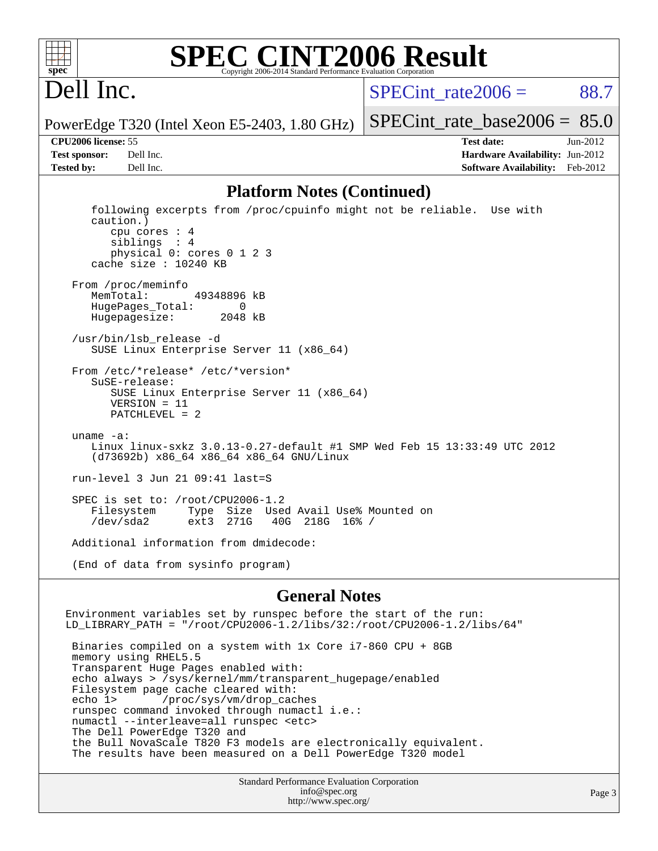

#### **[SPEC CINT2006 Result](http://www.spec.org/auto/cpu2006/Docs/result-fields.html#SPECCINT2006Result)** Copyright 2006-2014 Standard Performance Evaluation C

# Dell Inc.

SPECint rate $2006 = 88.7$ 

[SPECint\\_rate\\_base2006 =](http://www.spec.org/auto/cpu2006/Docs/result-fields.html#SPECintratebase2006)  $85.0$ 

PowerEdge T320 (Intel Xeon E5-2403, 1.80 GHz)

**[CPU2006 license:](http://www.spec.org/auto/cpu2006/Docs/result-fields.html#CPU2006license)** 55 **[Test date:](http://www.spec.org/auto/cpu2006/Docs/result-fields.html#Testdate)** Jun-2012 **[Test sponsor:](http://www.spec.org/auto/cpu2006/Docs/result-fields.html#Testsponsor)** Dell Inc. **[Hardware Availability:](http://www.spec.org/auto/cpu2006/Docs/result-fields.html#HardwareAvailability)** Jun-2012 **[Tested by:](http://www.spec.org/auto/cpu2006/Docs/result-fields.html#Testedby)** Dell Inc. **[Software Availability:](http://www.spec.org/auto/cpu2006/Docs/result-fields.html#SoftwareAvailability)** Feb-2012

#### **[Platform Notes \(Continued\)](http://www.spec.org/auto/cpu2006/Docs/result-fields.html#PlatformNotes)**

 following excerpts from /proc/cpuinfo might not be reliable. Use with caution.) cpu cores : 4 siblings : 4 physical 0: cores 0 1 2 3 cache size : 10240 KB From /proc/meminfo MemTotal: 49348896 kB HugePages\_Total: 0<br>Hugepagesize: 2048 kB Hugepagesize: /usr/bin/lsb\_release -d SUSE Linux Enterprise Server 11 (x86\_64) From /etc/\*release\* /etc/\*version\* SuSE-release: SUSE Linux Enterprise Server 11 (x86\_64) VERSION = 11 PATCHLEVEL = 2 uname -a: Linux linux-sxkz 3.0.13-0.27-default #1 SMP Wed Feb 15 13:33:49 UTC 2012 (d73692b) x86\_64 x86\_64 x86\_64 GNU/Linux run-level 3 Jun 21 09:41 last=S SPEC is set to: /root/CPU2006-1.2<br>Filesystem Type Size Use Type Size Used Avail Use% Mounted on<br>ext3 271G 40G 218G 16% / /dev/sda2 ext3 271G 40G 218G 16% / Additional information from dmidecode: (End of data from sysinfo program)

#### **[General Notes](http://www.spec.org/auto/cpu2006/Docs/result-fields.html#GeneralNotes)**

Environment variables set by runspec before the start of the run: LD\_LIBRARY\_PATH = "/root/CPU2006-1.2/libs/32:/root/CPU2006-1.2/libs/64" Binaries compiled on a system with 1x Core i7-860 CPU + 8GB memory using RHEL5.5 Transparent Huge Pages enabled with: echo always > /sys/kernel/mm/transparent\_hugepage/enabled Filesystem page cache cleared with: echo 1> /proc/sys/vm/drop\_caches runspec command invoked through numactl i.e.: numactl --interleave=all runspec <etc> The Dell PowerEdge T320 and the Bull NovaScale T820 F3 models are electronically equivalent. The results have been measured on a Dell PowerEdge T320 model

> Standard Performance Evaluation Corporation [info@spec.org](mailto:info@spec.org) <http://www.spec.org/>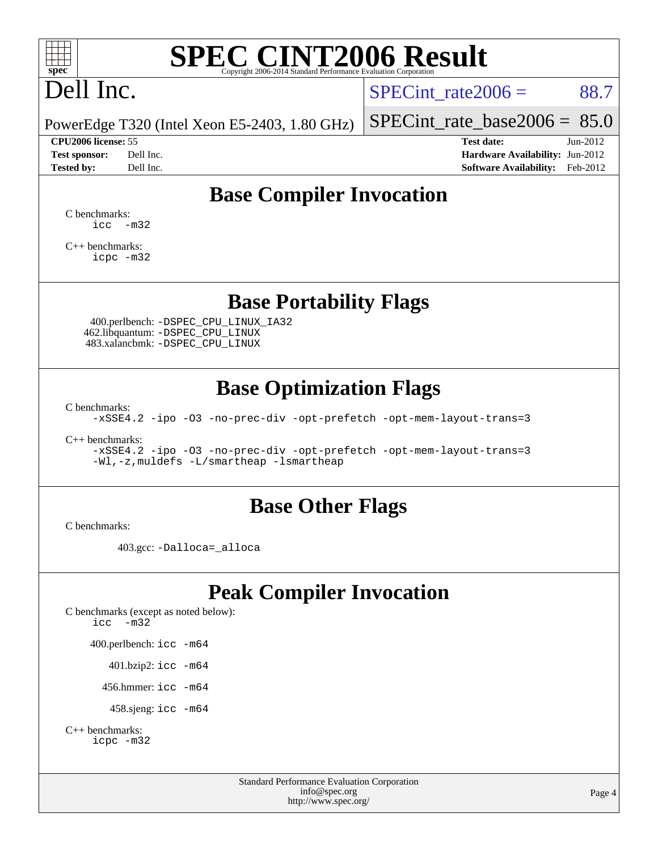

# **[SPEC CINT2006 Result](http://www.spec.org/auto/cpu2006/Docs/result-fields.html#SPECCINT2006Result)**

# Dell Inc.

SPECint rate $2006 = 88.7$ 

PowerEdge T320 (Intel Xeon E5-2403, 1.80 GHz)

**[Tested by:](http://www.spec.org/auto/cpu2006/Docs/result-fields.html#Testedby)** Dell Inc. **[Software Availability:](http://www.spec.org/auto/cpu2006/Docs/result-fields.html#SoftwareAvailability)** Feb-2012

[SPECint\\_rate\\_base2006 =](http://www.spec.org/auto/cpu2006/Docs/result-fields.html#SPECintratebase2006)  $85.0$ 

**[CPU2006 license:](http://www.spec.org/auto/cpu2006/Docs/result-fields.html#CPU2006license)** 55 **[Test date:](http://www.spec.org/auto/cpu2006/Docs/result-fields.html#Testdate)** Jun-2012 **[Test sponsor:](http://www.spec.org/auto/cpu2006/Docs/result-fields.html#Testsponsor)** Dell Inc. **[Hardware Availability:](http://www.spec.org/auto/cpu2006/Docs/result-fields.html#HardwareAvailability)** Jun-2012

## **[Base Compiler Invocation](http://www.spec.org/auto/cpu2006/Docs/result-fields.html#BaseCompilerInvocation)**

[C benchmarks](http://www.spec.org/auto/cpu2006/Docs/result-fields.html#Cbenchmarks):  $\text{icc}$   $-\text{m32}$ 

[C++ benchmarks:](http://www.spec.org/auto/cpu2006/Docs/result-fields.html#CXXbenchmarks) [icpc -m32](http://www.spec.org/cpu2006/results/res2012q3/cpu2006-20120703-23481.flags.html#user_CXXbase_intel_icpc_4e5a5ef1a53fd332b3c49e69c3330699)

#### **[Base Portability Flags](http://www.spec.org/auto/cpu2006/Docs/result-fields.html#BasePortabilityFlags)**

 400.perlbench: [-DSPEC\\_CPU\\_LINUX\\_IA32](http://www.spec.org/cpu2006/results/res2012q3/cpu2006-20120703-23481.flags.html#b400.perlbench_baseCPORTABILITY_DSPEC_CPU_LINUX_IA32) 462.libquantum: [-DSPEC\\_CPU\\_LINUX](http://www.spec.org/cpu2006/results/res2012q3/cpu2006-20120703-23481.flags.html#b462.libquantum_baseCPORTABILITY_DSPEC_CPU_LINUX) 483.xalancbmk: [-DSPEC\\_CPU\\_LINUX](http://www.spec.org/cpu2006/results/res2012q3/cpu2006-20120703-23481.flags.html#b483.xalancbmk_baseCXXPORTABILITY_DSPEC_CPU_LINUX)

### **[Base Optimization Flags](http://www.spec.org/auto/cpu2006/Docs/result-fields.html#BaseOptimizationFlags)**

[C benchmarks](http://www.spec.org/auto/cpu2006/Docs/result-fields.html#Cbenchmarks):

[-xSSE4.2](http://www.spec.org/cpu2006/results/res2012q3/cpu2006-20120703-23481.flags.html#user_CCbase_f-xSSE42_f91528193cf0b216347adb8b939d4107) [-ipo](http://www.spec.org/cpu2006/results/res2012q3/cpu2006-20120703-23481.flags.html#user_CCbase_f-ipo) [-O3](http://www.spec.org/cpu2006/results/res2012q3/cpu2006-20120703-23481.flags.html#user_CCbase_f-O3) [-no-prec-div](http://www.spec.org/cpu2006/results/res2012q3/cpu2006-20120703-23481.flags.html#user_CCbase_f-no-prec-div) [-opt-prefetch](http://www.spec.org/cpu2006/results/res2012q3/cpu2006-20120703-23481.flags.html#user_CCbase_f-opt-prefetch) [-opt-mem-layout-trans=3](http://www.spec.org/cpu2006/results/res2012q3/cpu2006-20120703-23481.flags.html#user_CCbase_f-opt-mem-layout-trans_a7b82ad4bd7abf52556d4961a2ae94d5)

[C++ benchmarks:](http://www.spec.org/auto/cpu2006/Docs/result-fields.html#CXXbenchmarks)

[-xSSE4.2](http://www.spec.org/cpu2006/results/res2012q3/cpu2006-20120703-23481.flags.html#user_CXXbase_f-xSSE42_f91528193cf0b216347adb8b939d4107) [-ipo](http://www.spec.org/cpu2006/results/res2012q3/cpu2006-20120703-23481.flags.html#user_CXXbase_f-ipo) [-O3](http://www.spec.org/cpu2006/results/res2012q3/cpu2006-20120703-23481.flags.html#user_CXXbase_f-O3) [-no-prec-div](http://www.spec.org/cpu2006/results/res2012q3/cpu2006-20120703-23481.flags.html#user_CXXbase_f-no-prec-div) [-opt-prefetch](http://www.spec.org/cpu2006/results/res2012q3/cpu2006-20120703-23481.flags.html#user_CXXbase_f-opt-prefetch) [-opt-mem-layout-trans=3](http://www.spec.org/cpu2006/results/res2012q3/cpu2006-20120703-23481.flags.html#user_CXXbase_f-opt-mem-layout-trans_a7b82ad4bd7abf52556d4961a2ae94d5) [-Wl,-z,muldefs](http://www.spec.org/cpu2006/results/res2012q3/cpu2006-20120703-23481.flags.html#user_CXXbase_link_force_multiple1_74079c344b956b9658436fd1b6dd3a8a) [-L/smartheap -lsmartheap](http://www.spec.org/cpu2006/results/res2012q3/cpu2006-20120703-23481.flags.html#user_CXXbase_SmartHeap_7c9e394a5779e1a7fec7c221e123830c)

#### **[Base Other Flags](http://www.spec.org/auto/cpu2006/Docs/result-fields.html#BaseOtherFlags)**

[C benchmarks](http://www.spec.org/auto/cpu2006/Docs/result-fields.html#Cbenchmarks):

403.gcc: [-Dalloca=\\_alloca](http://www.spec.org/cpu2006/results/res2012q3/cpu2006-20120703-23481.flags.html#b403.gcc_baseEXTRA_CFLAGS_Dalloca_be3056838c12de2578596ca5467af7f3)

## **[Peak Compiler Invocation](http://www.spec.org/auto/cpu2006/Docs/result-fields.html#PeakCompilerInvocation)**

[C benchmarks \(except as noted below\)](http://www.spec.org/auto/cpu2006/Docs/result-fields.html#Cbenchmarksexceptasnotedbelow): [icc -m32](http://www.spec.org/cpu2006/results/res2012q3/cpu2006-20120703-23481.flags.html#user_CCpeak_intel_icc_5ff4a39e364c98233615fdd38438c6f2) 400.perlbench: [icc -m64](http://www.spec.org/cpu2006/results/res2012q3/cpu2006-20120703-23481.flags.html#user_peakCCLD400_perlbench_intel_icc_64bit_bda6cc9af1fdbb0edc3795bac97ada53) 401.bzip2: [icc -m64](http://www.spec.org/cpu2006/results/res2012q3/cpu2006-20120703-23481.flags.html#user_peakCCLD401_bzip2_intel_icc_64bit_bda6cc9af1fdbb0edc3795bac97ada53)

456.hmmer: [icc -m64](http://www.spec.org/cpu2006/results/res2012q3/cpu2006-20120703-23481.flags.html#user_peakCCLD456_hmmer_intel_icc_64bit_bda6cc9af1fdbb0edc3795bac97ada53)

458.sjeng: [icc -m64](http://www.spec.org/cpu2006/results/res2012q3/cpu2006-20120703-23481.flags.html#user_peakCCLD458_sjeng_intel_icc_64bit_bda6cc9af1fdbb0edc3795bac97ada53)

```
C++ benchmarks: 
icpc -m32
```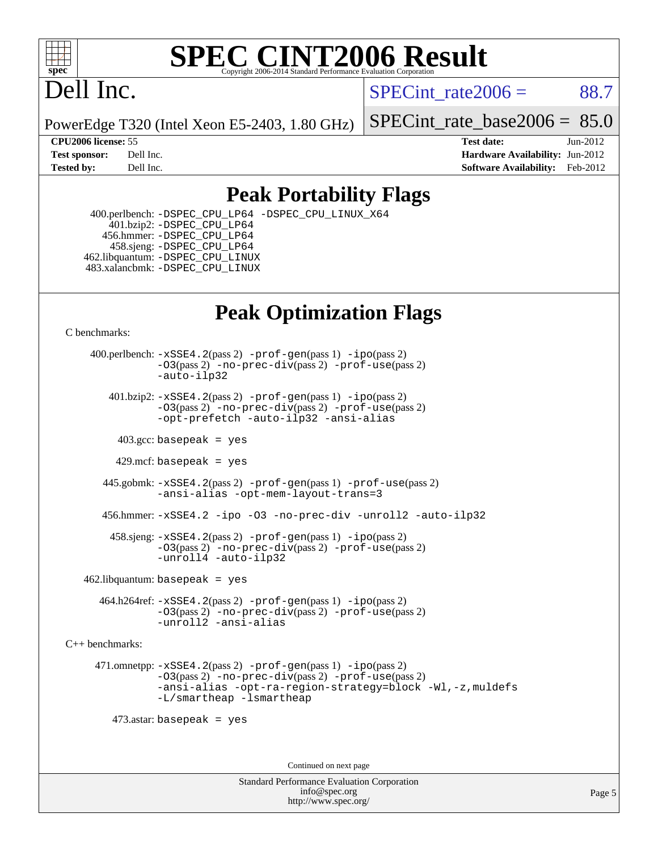

#### **[SPEC CINT2006 Result](http://www.spec.org/auto/cpu2006/Docs/result-fields.html#SPECCINT2006Result)** Copyright 2006-2014 Standard Performance Evaluation C

# Dell Inc.

SPECint rate $2006 = 88.7$ 

PowerEdge T320 (Intel Xeon E5-2403, 1.80 GHz)

[SPECint\\_rate\\_base2006 =](http://www.spec.org/auto/cpu2006/Docs/result-fields.html#SPECintratebase2006)  $85.0$ 

**[CPU2006 license:](http://www.spec.org/auto/cpu2006/Docs/result-fields.html#CPU2006license)** 55 **[Test date:](http://www.spec.org/auto/cpu2006/Docs/result-fields.html#Testdate)** Jun-2012 **[Test sponsor:](http://www.spec.org/auto/cpu2006/Docs/result-fields.html#Testsponsor)** Dell Inc. **[Hardware Availability:](http://www.spec.org/auto/cpu2006/Docs/result-fields.html#HardwareAvailability)** Jun-2012 **[Tested by:](http://www.spec.org/auto/cpu2006/Docs/result-fields.html#Testedby)** Dell Inc. **[Software Availability:](http://www.spec.org/auto/cpu2006/Docs/result-fields.html#SoftwareAvailability)** Feb-2012

### **[Peak Portability Flags](http://www.spec.org/auto/cpu2006/Docs/result-fields.html#PeakPortabilityFlags)**

 400.perlbench: [-DSPEC\\_CPU\\_LP64](http://www.spec.org/cpu2006/results/res2012q3/cpu2006-20120703-23481.flags.html#b400.perlbench_peakCPORTABILITY_DSPEC_CPU_LP64) [-DSPEC\\_CPU\\_LINUX\\_X64](http://www.spec.org/cpu2006/results/res2012q3/cpu2006-20120703-23481.flags.html#b400.perlbench_peakCPORTABILITY_DSPEC_CPU_LINUX_X64) 401.bzip2: [-DSPEC\\_CPU\\_LP64](http://www.spec.org/cpu2006/results/res2012q3/cpu2006-20120703-23481.flags.html#suite_peakCPORTABILITY401_bzip2_DSPEC_CPU_LP64) 456.hmmer: [-DSPEC\\_CPU\\_LP64](http://www.spec.org/cpu2006/results/res2012q3/cpu2006-20120703-23481.flags.html#suite_peakCPORTABILITY456_hmmer_DSPEC_CPU_LP64) 458.sjeng: [-DSPEC\\_CPU\\_LP64](http://www.spec.org/cpu2006/results/res2012q3/cpu2006-20120703-23481.flags.html#suite_peakCPORTABILITY458_sjeng_DSPEC_CPU_LP64) 462.libquantum: [-DSPEC\\_CPU\\_LINUX](http://www.spec.org/cpu2006/results/res2012q3/cpu2006-20120703-23481.flags.html#b462.libquantum_peakCPORTABILITY_DSPEC_CPU_LINUX) 483.xalancbmk: [-DSPEC\\_CPU\\_LINUX](http://www.spec.org/cpu2006/results/res2012q3/cpu2006-20120703-23481.flags.html#b483.xalancbmk_peakCXXPORTABILITY_DSPEC_CPU_LINUX)

## **[Peak Optimization Flags](http://www.spec.org/auto/cpu2006/Docs/result-fields.html#PeakOptimizationFlags)**

[C benchmarks](http://www.spec.org/auto/cpu2006/Docs/result-fields.html#Cbenchmarks):

 400.perlbench: [-xSSE4.2](http://www.spec.org/cpu2006/results/res2012q3/cpu2006-20120703-23481.flags.html#user_peakPASS2_CFLAGSPASS2_LDCFLAGS400_perlbench_f-xSSE42_f91528193cf0b216347adb8b939d4107)(pass 2) [-prof-gen](http://www.spec.org/cpu2006/results/res2012q3/cpu2006-20120703-23481.flags.html#user_peakPASS1_CFLAGSPASS1_LDCFLAGS400_perlbench_prof_gen_e43856698f6ca7b7e442dfd80e94a8fc)(pass 1) [-ipo](http://www.spec.org/cpu2006/results/res2012q3/cpu2006-20120703-23481.flags.html#user_peakPASS2_CFLAGSPASS2_LDCFLAGS400_perlbench_f-ipo)(pass 2) [-O3](http://www.spec.org/cpu2006/results/res2012q3/cpu2006-20120703-23481.flags.html#user_peakPASS2_CFLAGSPASS2_LDCFLAGS400_perlbench_f-O3)(pass 2) [-no-prec-div](http://www.spec.org/cpu2006/results/res2012q3/cpu2006-20120703-23481.flags.html#user_peakPASS2_CFLAGSPASS2_LDCFLAGS400_perlbench_f-no-prec-div)(pass 2) [-prof-use](http://www.spec.org/cpu2006/results/res2012q3/cpu2006-20120703-23481.flags.html#user_peakPASS2_CFLAGSPASS2_LDCFLAGS400_perlbench_prof_use_bccf7792157ff70d64e32fe3e1250b55)(pass 2) [-auto-ilp32](http://www.spec.org/cpu2006/results/res2012q3/cpu2006-20120703-23481.flags.html#user_peakCOPTIMIZE400_perlbench_f-auto-ilp32)  $401.bzip2: -xSSE4.2(pass 2) -prof-qen(pass 1) -ipo(pass 2)$  $401.bzip2: -xSSE4.2(pass 2) -prof-qen(pass 1) -ipo(pass 2)$  $401.bzip2: -xSSE4.2(pass 2) -prof-qen(pass 1) -ipo(pass 2)$  $401.bzip2: -xSSE4.2(pass 2) -prof-qen(pass 1) -ipo(pass 2)$  $401.bzip2: -xSSE4.2(pass 2) -prof-qen(pass 1) -ipo(pass 2)$ [-O3](http://www.spec.org/cpu2006/results/res2012q3/cpu2006-20120703-23481.flags.html#user_peakPASS2_CFLAGSPASS2_LDCFLAGS401_bzip2_f-O3)(pass 2) [-no-prec-div](http://www.spec.org/cpu2006/results/res2012q3/cpu2006-20120703-23481.flags.html#user_peakPASS2_CFLAGSPASS2_LDCFLAGS401_bzip2_f-no-prec-div)(pass 2) [-prof-use](http://www.spec.org/cpu2006/results/res2012q3/cpu2006-20120703-23481.flags.html#user_peakPASS2_CFLAGSPASS2_LDCFLAGS401_bzip2_prof_use_bccf7792157ff70d64e32fe3e1250b55)(pass 2) [-opt-prefetch](http://www.spec.org/cpu2006/results/res2012q3/cpu2006-20120703-23481.flags.html#user_peakCOPTIMIZE401_bzip2_f-opt-prefetch) [-auto-ilp32](http://www.spec.org/cpu2006/results/res2012q3/cpu2006-20120703-23481.flags.html#user_peakCOPTIMIZE401_bzip2_f-auto-ilp32) [-ansi-alias](http://www.spec.org/cpu2006/results/res2012q3/cpu2006-20120703-23481.flags.html#user_peakCOPTIMIZE401_bzip2_f-ansi-alias)  $403.\text{sec: basepeak}$  = yes 429.mcf: basepeak = yes 445.gobmk: [-xSSE4.2](http://www.spec.org/cpu2006/results/res2012q3/cpu2006-20120703-23481.flags.html#user_peakPASS2_CFLAGSPASS2_LDCFLAGS445_gobmk_f-xSSE42_f91528193cf0b216347adb8b939d4107)(pass 2) [-prof-gen](http://www.spec.org/cpu2006/results/res2012q3/cpu2006-20120703-23481.flags.html#user_peakPASS1_CFLAGSPASS1_LDCFLAGS445_gobmk_prof_gen_e43856698f6ca7b7e442dfd80e94a8fc)(pass 1) [-prof-use](http://www.spec.org/cpu2006/results/res2012q3/cpu2006-20120703-23481.flags.html#user_peakPASS2_CFLAGSPASS2_LDCFLAGS445_gobmk_prof_use_bccf7792157ff70d64e32fe3e1250b55)(pass 2) [-ansi-alias](http://www.spec.org/cpu2006/results/res2012q3/cpu2006-20120703-23481.flags.html#user_peakCOPTIMIZE445_gobmk_f-ansi-alias) [-opt-mem-layout-trans=3](http://www.spec.org/cpu2006/results/res2012q3/cpu2006-20120703-23481.flags.html#user_peakCOPTIMIZE445_gobmk_f-opt-mem-layout-trans_a7b82ad4bd7abf52556d4961a2ae94d5) 456.hmmer: [-xSSE4.2](http://www.spec.org/cpu2006/results/res2012q3/cpu2006-20120703-23481.flags.html#user_peakCOPTIMIZE456_hmmer_f-xSSE42_f91528193cf0b216347adb8b939d4107) [-ipo](http://www.spec.org/cpu2006/results/res2012q3/cpu2006-20120703-23481.flags.html#user_peakCOPTIMIZE456_hmmer_f-ipo) [-O3](http://www.spec.org/cpu2006/results/res2012q3/cpu2006-20120703-23481.flags.html#user_peakCOPTIMIZE456_hmmer_f-O3) [-no-prec-div](http://www.spec.org/cpu2006/results/res2012q3/cpu2006-20120703-23481.flags.html#user_peakCOPTIMIZE456_hmmer_f-no-prec-div) [-unroll2](http://www.spec.org/cpu2006/results/res2012q3/cpu2006-20120703-23481.flags.html#user_peakCOPTIMIZE456_hmmer_f-unroll_784dae83bebfb236979b41d2422d7ec2) [-auto-ilp32](http://www.spec.org/cpu2006/results/res2012q3/cpu2006-20120703-23481.flags.html#user_peakCOPTIMIZE456_hmmer_f-auto-ilp32) 458.sjeng: [-xSSE4.2](http://www.spec.org/cpu2006/results/res2012q3/cpu2006-20120703-23481.flags.html#user_peakPASS2_CFLAGSPASS2_LDCFLAGS458_sjeng_f-xSSE42_f91528193cf0b216347adb8b939d4107)(pass 2) [-prof-gen](http://www.spec.org/cpu2006/results/res2012q3/cpu2006-20120703-23481.flags.html#user_peakPASS1_CFLAGSPASS1_LDCFLAGS458_sjeng_prof_gen_e43856698f6ca7b7e442dfd80e94a8fc)(pass 1) [-ipo](http://www.spec.org/cpu2006/results/res2012q3/cpu2006-20120703-23481.flags.html#user_peakPASS2_CFLAGSPASS2_LDCFLAGS458_sjeng_f-ipo)(pass 2) [-O3](http://www.spec.org/cpu2006/results/res2012q3/cpu2006-20120703-23481.flags.html#user_peakPASS2_CFLAGSPASS2_LDCFLAGS458_sjeng_f-O3)(pass 2) [-no-prec-div](http://www.spec.org/cpu2006/results/res2012q3/cpu2006-20120703-23481.flags.html#user_peakPASS2_CFLAGSPASS2_LDCFLAGS458_sjeng_f-no-prec-div)(pass 2) [-prof-use](http://www.spec.org/cpu2006/results/res2012q3/cpu2006-20120703-23481.flags.html#user_peakPASS2_CFLAGSPASS2_LDCFLAGS458_sjeng_prof_use_bccf7792157ff70d64e32fe3e1250b55)(pass 2) [-unroll4](http://www.spec.org/cpu2006/results/res2012q3/cpu2006-20120703-23481.flags.html#user_peakCOPTIMIZE458_sjeng_f-unroll_4e5e4ed65b7fd20bdcd365bec371b81f) [-auto-ilp32](http://www.spec.org/cpu2006/results/res2012q3/cpu2006-20120703-23481.flags.html#user_peakCOPTIMIZE458_sjeng_f-auto-ilp32)  $462$ .libquantum: basepeak = yes 464.h264ref: [-xSSE4.2](http://www.spec.org/cpu2006/results/res2012q3/cpu2006-20120703-23481.flags.html#user_peakPASS2_CFLAGSPASS2_LDCFLAGS464_h264ref_f-xSSE42_f91528193cf0b216347adb8b939d4107)(pass 2) [-prof-gen](http://www.spec.org/cpu2006/results/res2012q3/cpu2006-20120703-23481.flags.html#user_peakPASS1_CFLAGSPASS1_LDCFLAGS464_h264ref_prof_gen_e43856698f6ca7b7e442dfd80e94a8fc)(pass 1) [-ipo](http://www.spec.org/cpu2006/results/res2012q3/cpu2006-20120703-23481.flags.html#user_peakPASS2_CFLAGSPASS2_LDCFLAGS464_h264ref_f-ipo)(pass 2) [-O3](http://www.spec.org/cpu2006/results/res2012q3/cpu2006-20120703-23481.flags.html#user_peakPASS2_CFLAGSPASS2_LDCFLAGS464_h264ref_f-O3)(pass 2) [-no-prec-div](http://www.spec.org/cpu2006/results/res2012q3/cpu2006-20120703-23481.flags.html#user_peakPASS2_CFLAGSPASS2_LDCFLAGS464_h264ref_f-no-prec-div)(pass 2) [-prof-use](http://www.spec.org/cpu2006/results/res2012q3/cpu2006-20120703-23481.flags.html#user_peakPASS2_CFLAGSPASS2_LDCFLAGS464_h264ref_prof_use_bccf7792157ff70d64e32fe3e1250b55)(pass 2) [-unroll2](http://www.spec.org/cpu2006/results/res2012q3/cpu2006-20120703-23481.flags.html#user_peakCOPTIMIZE464_h264ref_f-unroll_784dae83bebfb236979b41d2422d7ec2) [-ansi-alias](http://www.spec.org/cpu2006/results/res2012q3/cpu2006-20120703-23481.flags.html#user_peakCOPTIMIZE464_h264ref_f-ansi-alias)

[C++ benchmarks:](http://www.spec.org/auto/cpu2006/Docs/result-fields.html#CXXbenchmarks)

 471.omnetpp: [-xSSE4.2](http://www.spec.org/cpu2006/results/res2012q3/cpu2006-20120703-23481.flags.html#user_peakPASS2_CXXFLAGSPASS2_LDCXXFLAGS471_omnetpp_f-xSSE42_f91528193cf0b216347adb8b939d4107)(pass 2) [-prof-gen](http://www.spec.org/cpu2006/results/res2012q3/cpu2006-20120703-23481.flags.html#user_peakPASS1_CXXFLAGSPASS1_LDCXXFLAGS471_omnetpp_prof_gen_e43856698f6ca7b7e442dfd80e94a8fc)(pass 1) [-ipo](http://www.spec.org/cpu2006/results/res2012q3/cpu2006-20120703-23481.flags.html#user_peakPASS2_CXXFLAGSPASS2_LDCXXFLAGS471_omnetpp_f-ipo)(pass 2) [-O3](http://www.spec.org/cpu2006/results/res2012q3/cpu2006-20120703-23481.flags.html#user_peakPASS2_CXXFLAGSPASS2_LDCXXFLAGS471_omnetpp_f-O3)(pass 2) [-no-prec-div](http://www.spec.org/cpu2006/results/res2012q3/cpu2006-20120703-23481.flags.html#user_peakPASS2_CXXFLAGSPASS2_LDCXXFLAGS471_omnetpp_f-no-prec-div)(pass 2) [-prof-use](http://www.spec.org/cpu2006/results/res2012q3/cpu2006-20120703-23481.flags.html#user_peakPASS2_CXXFLAGSPASS2_LDCXXFLAGS471_omnetpp_prof_use_bccf7792157ff70d64e32fe3e1250b55)(pass 2) [-ansi-alias](http://www.spec.org/cpu2006/results/res2012q3/cpu2006-20120703-23481.flags.html#user_peakCXXOPTIMIZE471_omnetpp_f-ansi-alias) [-opt-ra-region-strategy=block](http://www.spec.org/cpu2006/results/res2012q3/cpu2006-20120703-23481.flags.html#user_peakCXXOPTIMIZE471_omnetpp_f-opt-ra-region-strategy_a0a37c372d03933b2a18d4af463c1f69) [-Wl,-z,muldefs](http://www.spec.org/cpu2006/results/res2012q3/cpu2006-20120703-23481.flags.html#user_peakEXTRA_LDFLAGS471_omnetpp_link_force_multiple1_74079c344b956b9658436fd1b6dd3a8a) [-L/smartheap -lsmartheap](http://www.spec.org/cpu2006/results/res2012q3/cpu2006-20120703-23481.flags.html#user_peakEXTRA_LIBS471_omnetpp_SmartHeap_7c9e394a5779e1a7fec7c221e123830c)

473.astar: basepeak = yes

Continued on next page

Standard Performance Evaluation Corporation [info@spec.org](mailto:info@spec.org) <http://www.spec.org/>